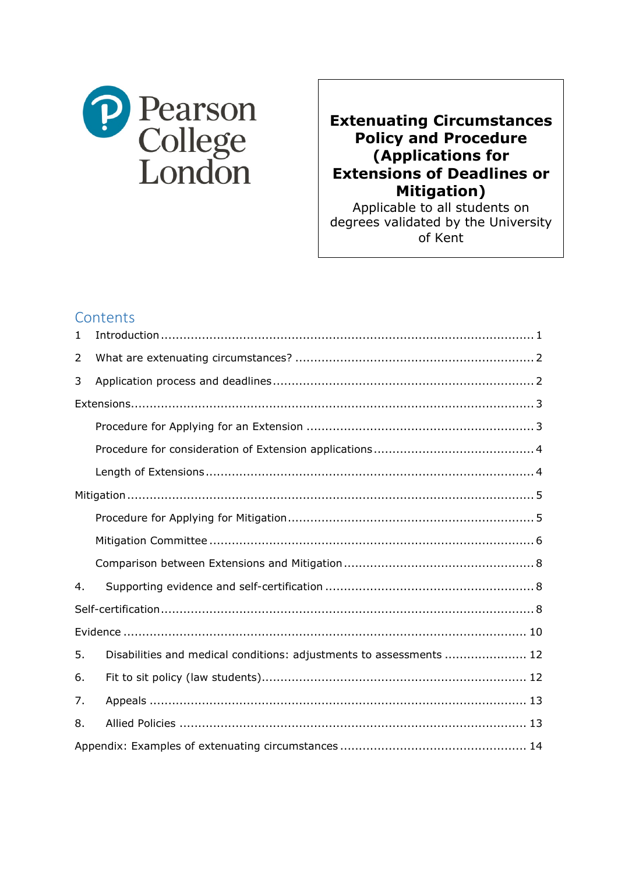

**Extenuating Circumstances Policy and Procedure (Applications for Extensions of Deadlines or Mitigation)** 

Applicable to all students on degrees validated by the University of Kent

### **Contents**

| $\mathbf{1}$ |                                                                     |
|--------------|---------------------------------------------------------------------|
| 2            |                                                                     |
| 3            |                                                                     |
|              |                                                                     |
|              |                                                                     |
|              |                                                                     |
|              |                                                                     |
|              |                                                                     |
|              |                                                                     |
|              |                                                                     |
|              |                                                                     |
| 4.           |                                                                     |
|              |                                                                     |
|              |                                                                     |
| 5.           | Disabilities and medical conditions: adjustments to assessments  12 |
| 6.           |                                                                     |
| 7.           |                                                                     |
| 8.           |                                                                     |
|              |                                                                     |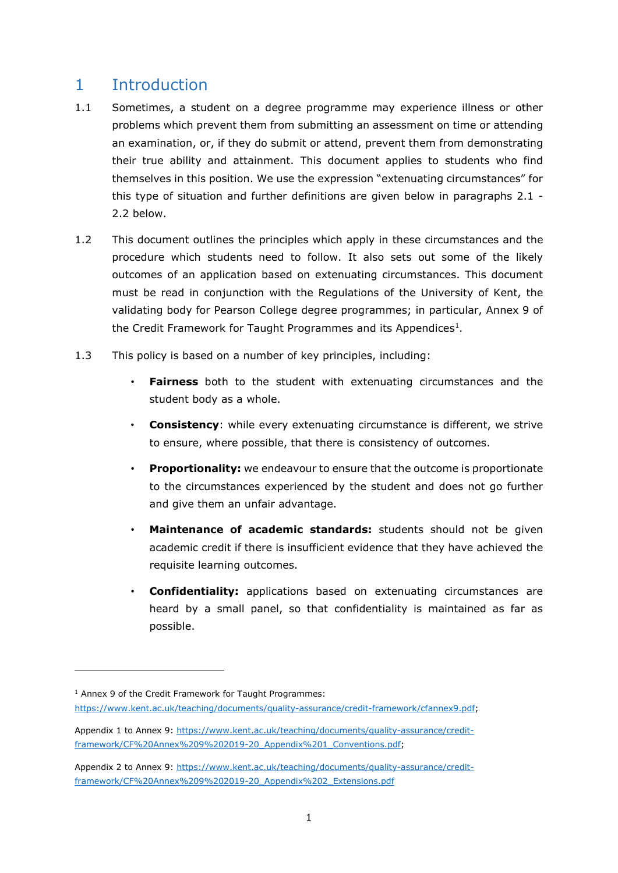## <span id="page-1-0"></span>1 Introduction

- 1.1 Sometimes, a student on a degree programme may experience illness or other problems which prevent them from submitting an assessment on time or attending an examination, or, if they do submit or attend, prevent them from demonstrating their true ability and attainment. This document applies to students who find themselves in this position. We use the expression "extenuating circumstances" for this type of situation and further definitions are given below in paragraphs [2.1](#page-2-2) - [2.2 below.](#page-2-3)
- 1.2 This document outlines the principles which apply in these circumstances and the procedure which students need to follow. It also sets out some of the likely outcomes of an application based on extenuating circumstances. This document must be read in conjunction with the Regulations of the University of Kent, the validating body for Pearson College degree programmes; in particular, Annex 9 of the Credit Framework for Taught Programmes and its Appendices<sup>[1](#page-1-1)</sup>.
- 1.3 This policy is based on a number of key principles, including:
	- **Fairness** both to the student with extenuating circumstances and the student body as a whole.
	- **Consistency**: while every extenuating circumstance is different, we strive to ensure, where possible, that there is consistency of outcomes.
	- **Proportionality:** we endeavour to ensure that the outcome is proportionate to the circumstances experienced by the student and does not go further and give them an unfair advantage.
	- **Maintenance of academic standards:** students should not be given academic credit if there is insufficient evidence that they have achieved the requisite learning outcomes.
	- **Confidentiality:** applications based on extenuating circumstances are heard by a small panel, so that confidentiality is maintained as far as possible.

<span id="page-1-1"></span><sup>&</sup>lt;sup>1</sup> Annex 9 of the Credit Framework for Taught Programmes:

[https://www.kent.ac.uk/teaching/documents/quality-assurance/credit-framework/cfannex9.pdf;](https://www.kent.ac.uk/teaching/documents/quality-assurance/credit-framework/cfannex9.pdf)

Appendix 1 to Annex 9: [https://www.kent.ac.uk/teaching/documents/quality-assurance/credit](https://www.kent.ac.uk/teaching/documents/quality-assurance/credit-framework/CF%20Annex%209%202019-20_Appendix%201_Conventions.pdf)[framework/CF%20Annex%209%202019-20\\_Appendix%201\\_Conventions.pdf;](https://www.kent.ac.uk/teaching/documents/quality-assurance/credit-framework/CF%20Annex%209%202019-20_Appendix%201_Conventions.pdf)

Appendix 2 to Annex 9: [https://www.kent.ac.uk/teaching/documents/quality-assurance/credit](https://www.kent.ac.uk/teaching/documents/quality-assurance/credit-framework/CF%20Annex%209%202019-20_Appendix%202_Extensions.pdf)[framework/CF%20Annex%209%202019-20\\_Appendix%202\\_Extensions.pdf](https://www.kent.ac.uk/teaching/documents/quality-assurance/credit-framework/CF%20Annex%209%202019-20_Appendix%202_Extensions.pdf)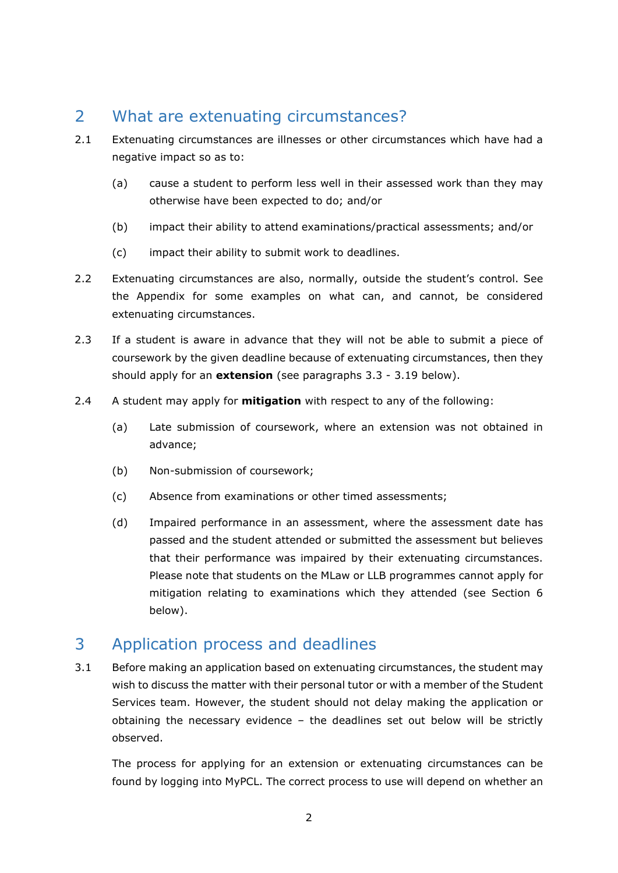## <span id="page-2-0"></span>2 What are extenuating circumstances?

- <span id="page-2-2"></span>2.1 Extenuating circumstances are illnesses or other circumstances which have had a negative impact so as to:
	- (a) cause a student to perform less well in their assessed work than they may otherwise have been expected to do; and/or
	- (b) impact their ability to attend examinations/practical assessments; and/or
	- (c) impact their ability to submit work to deadlines.
- <span id="page-2-3"></span>2.2 Extenuating circumstances are also, normally, outside the student's control. See the Appendix for some examples on what can, and cannot, be considered extenuating circumstances.
- 2.3 If a student is aware in advance that they will not be able to submit a piece of coursework by the given deadline because of extenuating circumstances, then they should apply for an **extension** (see paragraphs [3.3](#page-8-3) - [3.19](#page-3-2) below).
- 2.4 A student may apply for **mitigation** with respect to any of the following:
	- (a) Late submission of coursework, where an extension was not obtained in advance;
	- (b) Non-submission of coursework;
	- (c) Absence from examinations or other timed assessments;
	- (d) Impaired performance in an assessment, where the assessment date has passed and the student attended or submitted the assessment but believes that their performance was impaired by their extenuating circumstances. Please note that students on the MLaw or LLB programmes cannot apply for mitigation relating to examinations which they attended (see Section 6 below).

### <span id="page-2-1"></span>3 Application process and deadlines

3.1 Before making an application based on extenuating circumstances, the student may wish to discuss the matter with their personal tutor or with a member of the Student Services team. However, the student should not delay making the application or obtaining the necessary evidence – the deadlines set out below will be strictly observed.

The process for applying for an extension or extenuating circumstances can be found by logging into MyPCL. The correct process to use will depend on whether an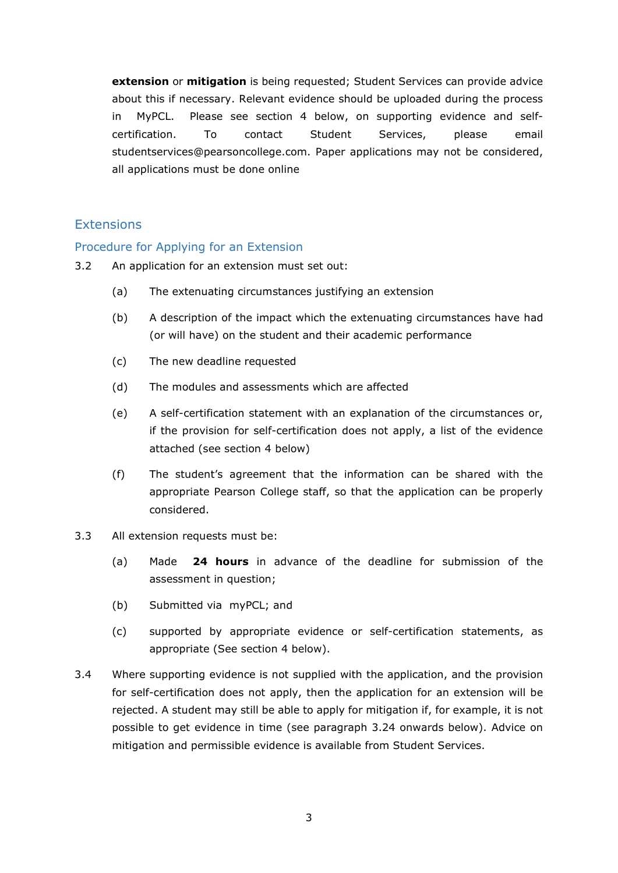**extension** or **mitigation** is being requested; Student Services can provide advice about this if necessary. Relevant evidence should be uploaded during the process in MyPCL. Please see section 4 below, on supporting evidence and selfcertification. To contact Student Services, please email studentservices@pearsoncollege.com. Paper applications may not be considered, all applications must be done online

#### <span id="page-3-0"></span>**Extensions**

#### <span id="page-3-1"></span>Procedure for Applying for an Extension

- 3.2 An application for an extension must set out:
	- (a) The extenuating circumstances justifying an extension
	- (b) A description of the impact which the extenuating circumstances have had (or will have) on the student and their academic performance
	- (c) The new deadline requested
	- (d) The modules and assessments which are affected
	- (e) A self-certification statement with an explanation of the circumstances or, if the provision for self-certification does not apply, a list of the evidence attached (see section [4 below\)](#page-8-1)
	- (f) The student's agreement that the information can be shared with the appropriate Pearson College staff, so that the application can be properly considered.
- <span id="page-3-2"></span>3.3 All extension requests must be:
	- (a) Made **24 hours** in advance of the deadline for submission of the assessment in question;
	- (b) Submitted via myPCL; and
	- (c) supported by appropriate evidence or self-certification statements, as appropriate (See section 4 below).
- 3.4 Where supporting evidence is not supplied with the application, and the provision for self-certification does not apply, then the application for an extension will be rejected. A student may still be able to apply for mitigation if, for example, it is not possible to get evidence in time (see paragraph 3.24 onwards below). Advice on mitigation and permissible evidence is available from Student Services.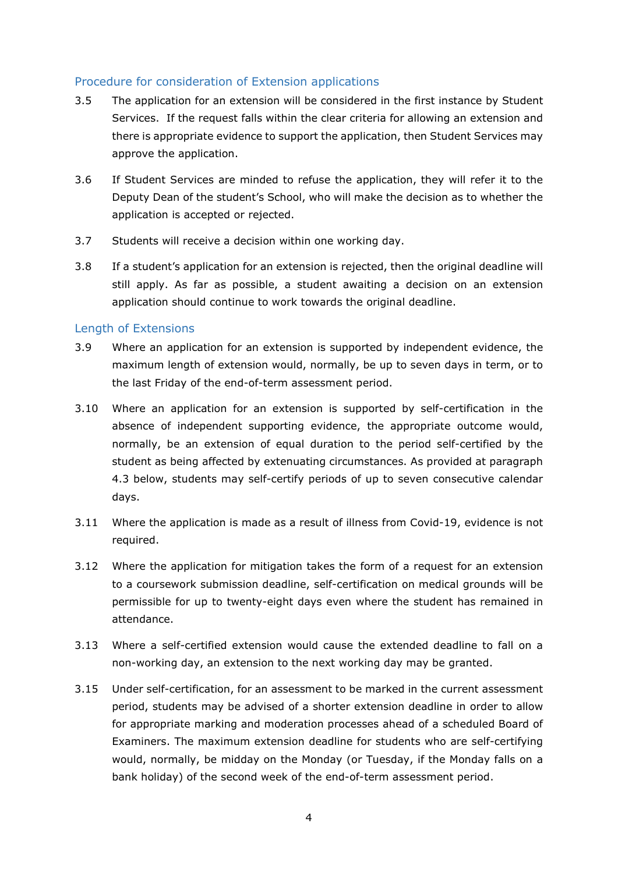#### <span id="page-4-0"></span>Procedure for consideration of Extension applications

- 3.5 The application for an extension will be considered in the first instance by Student Services. If the request falls within the clear criteria for allowing an extension and there is appropriate evidence to support the application, then Student Services may approve the application.
- 3.6 If Student Services are minded to refuse the application, they will refer it to the Deputy Dean of the student's School, who will make the decision as to whether the application is accepted or rejected.
- 3.7 Students will receive a decision within one working day.
- 3.8 If a student's application for an extension is rejected, then the original deadline will still apply. As far as possible, a student awaiting a decision on an extension application should continue to work towards the original deadline.

#### <span id="page-4-1"></span>Length of Extensions

- 3.9 Where an application for an extension is supported by independent evidence, the maximum length of extension would, normally, be up to seven days in term, or to the last Friday of the end-of-term assessment period.
- 3.10 Where an application for an extension is supported by self-certification in the absence of independent supporting evidence, the appropriate outcome would, normally, be an extension of equal duration to the period self-certified by the student as being affected by extenuating circumstances. As provided at paragraph [4.3](#page-9-0) below, students may self-certify periods of up to seven consecutive calendar days.
- 3.11 Where the application is made as a result of illness from Covid-19, evidence is not required.
- 3.12 Where the application for mitigation takes the form of a request for an extension to a coursework submission deadline, self-certification on medical grounds will be permissible for up to twenty-eight days even where the student has remained in attendance.
- 3.13 Where a self-certified extension would cause the extended deadline to fall on a non-working day, an extension to the next working day may be granted.
- 3.15 Under self-certification, for an assessment to be marked in the current assessment period, students may be advised of a shorter extension deadline in order to allow for appropriate marking and moderation processes ahead of a scheduled Board of Examiners. The maximum extension deadline for students who are self-certifying would, normally, be midday on the Monday (or Tuesday, if the Monday falls on a bank holiday) of the second week of the end-of-term assessment period.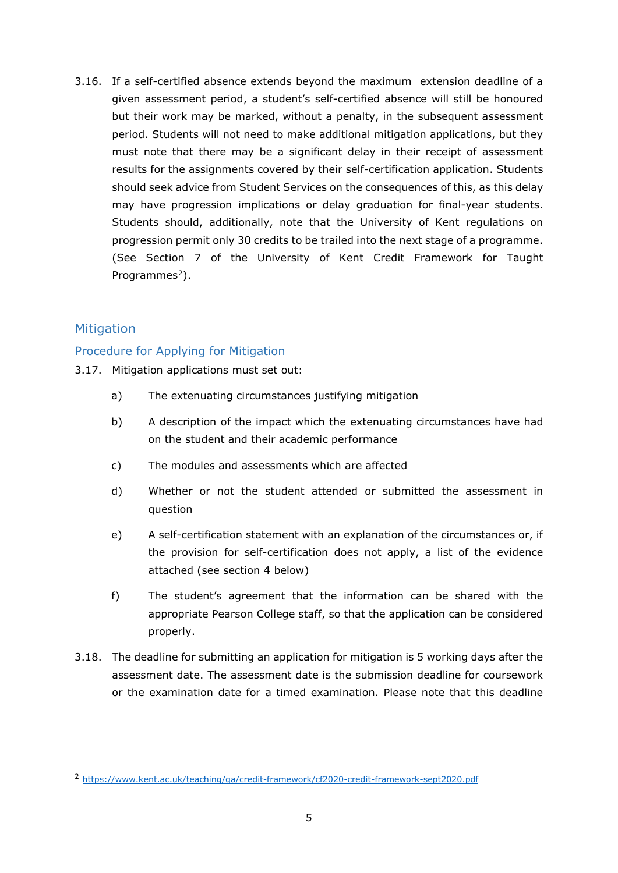3.16. If a self-certified absence extends beyond the maximum extension deadline of a given assessment period, a student's self-certified absence will still be honoured but their work may be marked, without a penalty, in the subsequent assessment period. Students will not need to make additional mitigation applications, but they must note that there may be a significant delay in their receipt of assessment results for the assignments covered by their self-certification application. Students should seek advice from Student Services on the consequences of this, as this delay may have progression implications or delay graduation for final-year students. Students should, additionally, note that the University of Kent regulations on progression permit only 30 credits to be trailed into the next stage of a programme. (See Section 7 of the University of Kent Credit Framework for Taught Programmes<sup>[2](#page-5-2)</sup>).

#### <span id="page-5-0"></span>**Mitigation**

#### <span id="page-5-1"></span>Procedure for Applying for Mitigation

- 3.17. Mitigation applications must set out:
	- a) The extenuating circumstances justifying mitigation
	- b) A description of the impact which the extenuating circumstances have had on the student and their academic performance
	- c) The modules and assessments which are affected
	- d) Whether or not the student attended or submitted the assessment in question
	- e) A self-certification statement with an explanation of the circumstances or, if the provision for self-certification does not apply, a list of the evidence attached (see section [4 below\)](#page-8-1)
	- f) The student's agreement that the information can be shared with the appropriate Pearson College staff, so that the application can be considered properly.
- 3.18. The deadline for submitting an application for mitigation is 5 working days after the assessment date. The assessment date is the submission deadline for coursework or the examination date for a timed examination. Please note that this deadline

<span id="page-5-2"></span><sup>2</sup> <https://www.kent.ac.uk/teaching/qa/credit-framework/cf2020-credit-framework-sept2020.pdf>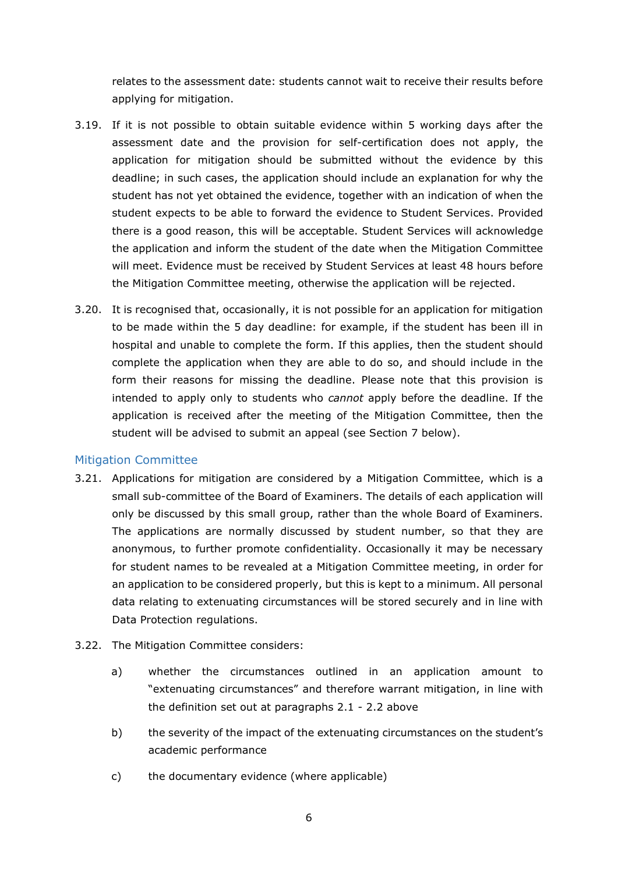relates to the assessment date: students cannot wait to receive their results before applying for mitigation.

- 3.19. If it is not possible to obtain suitable evidence within 5 working days after the assessment date and the provision for self-certification does not apply, the application for mitigation should be submitted without the evidence by this deadline; in such cases, the application should include an explanation for why the student has not yet obtained the evidence, together with an indication of when the student expects to be able to forward the evidence to Student Services. Provided there is a good reason, this will be acceptable. Student Services will acknowledge the application and inform the student of the date when the Mitigation Committee will meet. Evidence must be received by Student Services at least 48 hours before the Mitigation Committee meeting, otherwise the application will be rejected.
- 3.20. It is recognised that, occasionally, it is not possible for an application for mitigation to be made within the 5 day deadline: for example, if the student has been ill in hospital and unable to complete the form. If this applies, then the student should complete the application when they are able to do so, and should include in the form their reasons for missing the deadline. Please note that this provision is intended to apply only to students who *cannot* apply before the deadline. If the application is received after the meeting of the Mitigation Committee, then the student will be advised to submit an appeal (see Section 7 below).

#### <span id="page-6-0"></span>Mitigation Committee

- 3.21. Applications for mitigation are considered by a Mitigation Committee, which is a small sub-committee of the Board of Examiners. The details of each application will only be discussed by this small group, rather than the whole Board of Examiners. The applications are normally discussed by student number, so that they are anonymous, to further promote confidentiality. Occasionally it may be necessary for student names to be revealed at a Mitigation Committee meeting, in order for an application to be considered properly, but this is kept to a minimum. All personal data relating to extenuating circumstances will be stored securely and in line with Data Protection regulations.
- 3.22. The Mitigation Committee considers:
	- a) whether the circumstances outlined in an application amount to "extenuating circumstances" and therefore warrant mitigation, in line with the definition set out at paragraphs [2.1](#page-2-2) - [2.2 above](#page-2-3)
	- b) the severity of the impact of the extenuating circumstances on the student's academic performance
	- c) the documentary evidence (where applicable)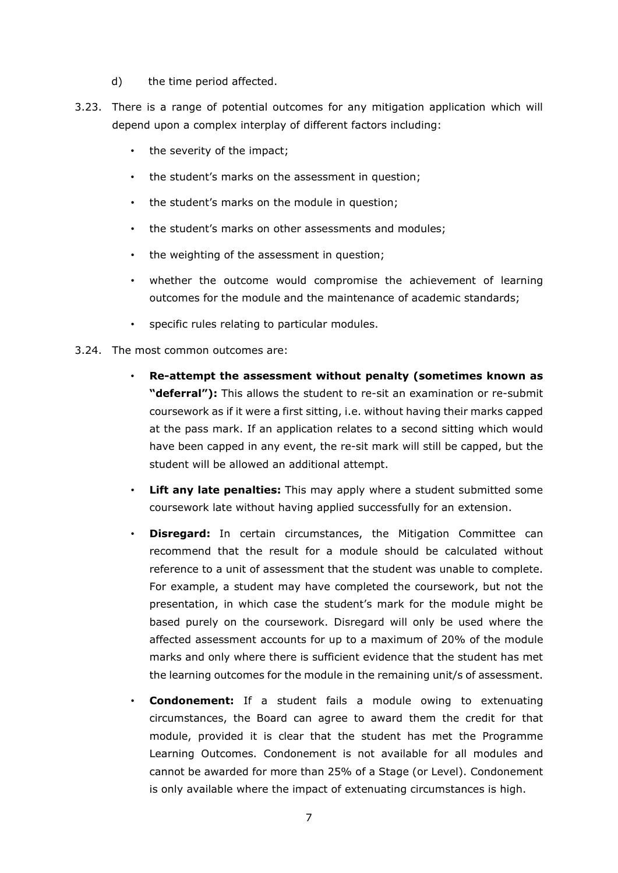- d) the time period affected.
- 3.23. There is a range of potential outcomes for any mitigation application which will depend upon a complex interplay of different factors including:
	- the severity of the impact;
	- the student's marks on the assessment in question;
	- the student's marks on the module in question;
	- the student's marks on other assessments and modules;
	- the weighting of the assessment in question;
	- whether the outcome would compromise the achievement of learning outcomes for the module and the maintenance of academic standards;
	- specific rules relating to particular modules.
- <span id="page-7-0"></span>3.24. The most common outcomes are:
	- **Re-attempt the assessment without penalty (sometimes known as "deferral"):** This allows the student to re-sit an examination or re-submit coursework as if it were a first sitting, i.e. without having their marks capped at the pass mark. If an application relates to a second sitting which would have been capped in any event, the re-sit mark will still be capped, but the student will be allowed an additional attempt.
	- **Lift any late penalties:** This may apply where a student submitted some coursework late without having applied successfully for an extension.
	- **Disregard:** In certain circumstances, the Mitigation Committee can recommend that the result for a module should be calculated without reference to a unit of assessment that the student was unable to complete. For example, a student may have completed the coursework, but not the presentation, in which case the student's mark for the module might be based purely on the coursework. Disregard will only be used where the affected assessment accounts for up to a maximum of 20% of the module marks and only where there is sufficient evidence that the student has met the learning outcomes for the module in the remaining unit/s of assessment.
	- **Condonement:** If a student fails a module owing to extenuating circumstances, the Board can agree to award them the credit for that module, provided it is clear that the student has met the Programme Learning Outcomes. Condonement is not available for all modules and cannot be awarded for more than 25% of a Stage (or Level). Condonement is only available where the impact of extenuating circumstances is high.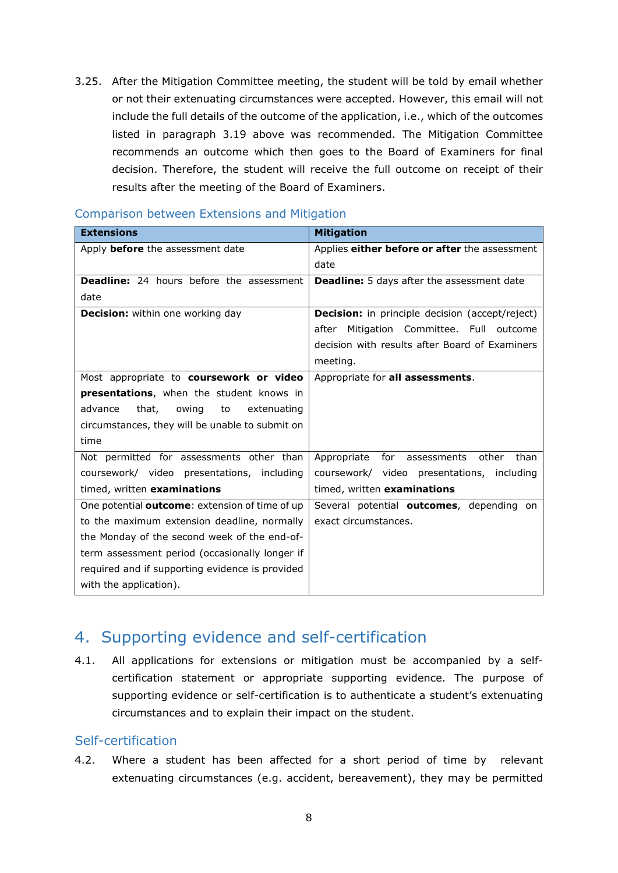3.25. After the Mitigation Committee meeting, the student will be told by email whether or not their extenuating circumstances were accepted. However, this email will not include the full details of the outcome of the application, i.e., which of the outcomes listed in paragraph [3.19](#page-7-0) above was recommended. The Mitigation Committee recommends an outcome which then goes to the Board of Examiners for final decision. Therefore, the student will receive the full outcome on receipt of their results after the meeting of the Board of Examiners.

| <b>Extensions</b>                                      | <b>Mitigation</b>                                      |
|--------------------------------------------------------|--------------------------------------------------------|
| Apply before the assessment date                       | Applies either before or after the assessment          |
|                                                        | date                                                   |
| <b>Deadline:</b> 24 hours before the assessment        | <b>Deadline:</b> 5 days after the assessment date      |
| date                                                   |                                                        |
| <b>Decision:</b> within one working day                | <b>Decision:</b> in principle decision (accept/reject) |
|                                                        | after Mitigation Committee. Full outcome               |
|                                                        | decision with results after Board of Examiners         |
|                                                        | meeting.                                               |
| Most appropriate to coursework or video                | Appropriate for all assessments.                       |
| presentations, when the student knows in               |                                                        |
| advance<br>that,<br>owing<br>to<br>extenuating         |                                                        |
| circumstances, they will be unable to submit on        |                                                        |
| time                                                   |                                                        |
| Not permitted for assessments other than               | for assessments<br>than<br>Appropriate<br>other        |
| coursework/ video presentations, including             | coursework/ video presentations, including             |
| timed, written examinations                            | timed, written examinations                            |
| One potential <b>outcome</b> : extension of time of up | Several potential <b>outcomes</b> , depending on       |
| to the maximum extension deadline, normally            | exact circumstances.                                   |
| the Monday of the second week of the end-of-           |                                                        |
| term assessment period (occasionally longer if         |                                                        |
| required and if supporting evidence is provided        |                                                        |
| with the application).                                 |                                                        |

#### <span id="page-8-0"></span>Comparison between Extensions and Mitigation

### <span id="page-8-4"></span><span id="page-8-1"></span>4. Supporting evidence and self-certification

4.1. All applications for extensions or mitigation must be accompanied by a selfcertification statement or appropriate supporting evidence. The purpose of supporting evidence or self-certification is to authenticate a student's extenuating circumstances and to explain their impact on the student.

#### <span id="page-8-2"></span>Self-certification

<span id="page-8-3"></span>4.2. Where a student has been affected for a short period of time by relevant extenuating circumstances (e.g. accident, bereavement), they may be permitted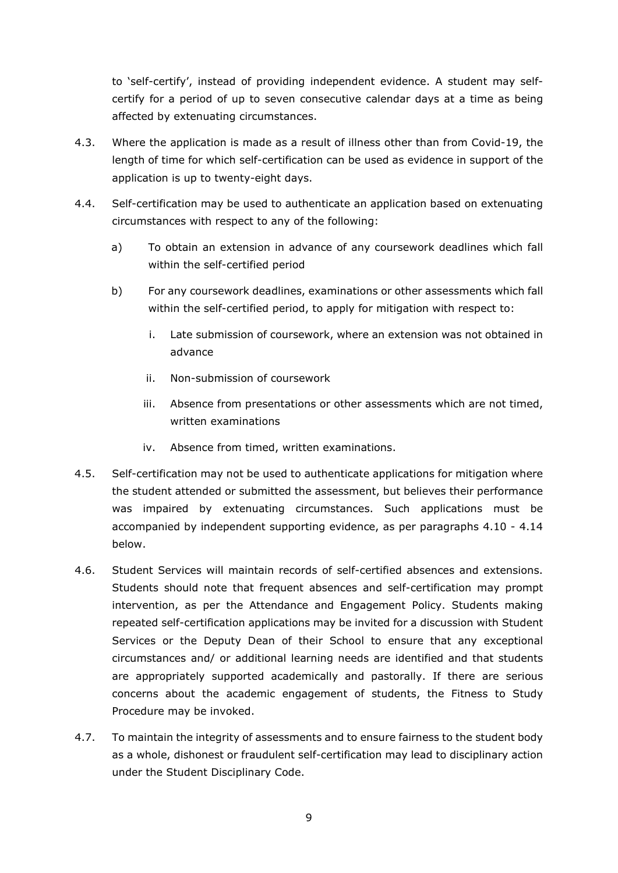<span id="page-9-0"></span>to 'self-certify', instead of providing independent evidence. A student may selfcertify for a period of up to seven consecutive calendar days at a time as being affected by extenuating circumstances.

- 4.3. Where the application is made as a result of illness other than from Covid-19, the length of time for which self-certification can be used as evidence in support of the application is up to twenty-eight days.
- 4.4. Self-certification may be used to authenticate an application based on extenuating circumstances with respect to any of the following:
	- a) To obtain an extension in advance of any coursework deadlines which fall within the self-certified period
	- b) For any coursework deadlines, examinations or other assessments which fall within the self-certified period, to apply for mitigation with respect to:
		- i. Late submission of coursework, where an extension was not obtained in advance
		- ii. Non-submission of coursework
		- iii. Absence from presentations or other assessments which are not timed, written examinations
		- iv. Absence from timed, written examinations.
- 4.5. Self-certification may not be used to authenticate applications for mitigation where the student attended or submitted the assessment, but believes their performance was impaired by extenuating circumstances. Such applications must be accompanied by independent supporting evidence, as per paragraphs 4.10 - [4.14](#page-11-0) [below.](#page-11-0)
- 4.6. Student Services will maintain records of self-certified absences and extensions. Students should note that frequent absences and self-certification may prompt intervention, as per the Attendance and Engagement Policy. Students making repeated self-certification applications may be invited for a discussion with Student Services or the Deputy Dean of their School to ensure that any exceptional circumstances and/ or additional learning needs are identified and that students are appropriately supported academically and pastorally. If there are serious concerns about the academic engagement of students, the Fitness to Study Procedure may be invoked.
- 4.7. To maintain the integrity of assessments and to ensure fairness to the student body as a whole, dishonest or fraudulent self-certification may lead to disciplinary action under the Student Disciplinary Code.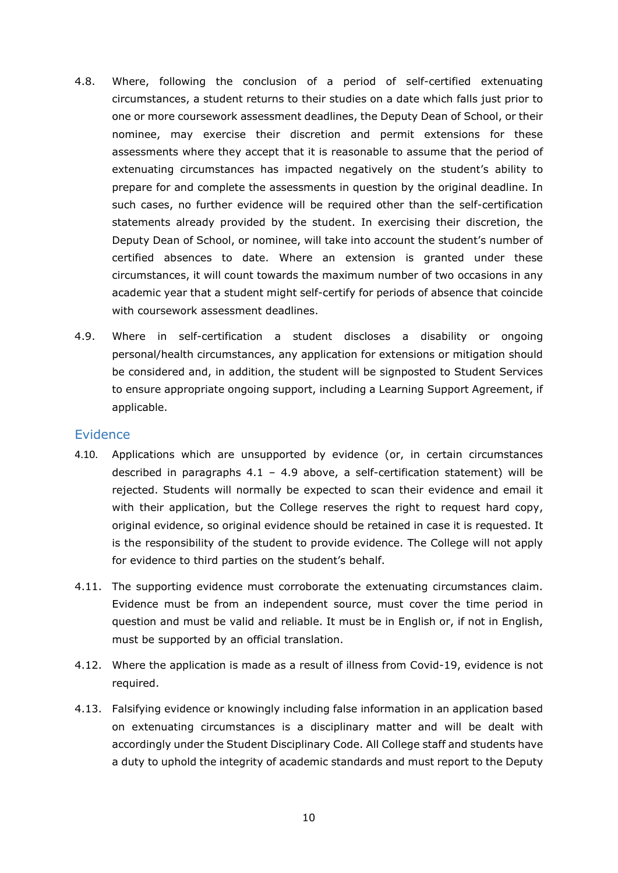- 4.8. Where, following the conclusion of a period of self-certified extenuating circumstances, a student returns to their studies on a date which falls just prior to one or more coursework assessment deadlines, the Deputy Dean of School, or their nominee, may exercise their discretion and permit extensions for these assessments where they accept that it is reasonable to assume that the period of extenuating circumstances has impacted negatively on the student's ability to prepare for and complete the assessments in question by the original deadline. In such cases, no further evidence will be required other than the self-certification statements already provided by the student. In exercising their discretion, the Deputy Dean of School, or nominee, will take into account the student's number of certified absences to date. Where an extension is granted under these circumstances, it will count towards the maximum number of two occasions in any academic year that a student might self-certify for periods of absence that coincide with coursework assessment deadlines.
- 4.9. Where in self-certification a student discloses a disability or ongoing personal/health circumstances, any application for extensions or mitigation should be considered and, in addition, the student will be signposted to Student Services to ensure appropriate ongoing support, including a Learning Support Agreement, if applicable.

#### <span id="page-10-0"></span>**Evidence**

- 4.10. Applications which are unsupported by evidence (or, in certain circumstances described in paragraphs  $4.1 - 4.9$  $4.1 - 4.9$  above, a self-certification statement) will be rejected. Students will normally be expected to scan their evidence and email it with their application, but the College reserves the right to request hard copy, original evidence, so original evidence should be retained in case it is requested. It is the responsibility of the student to provide evidence. The College will not apply for evidence to third parties on the student's behalf.
- 4.11. The supporting evidence must corroborate the extenuating circumstances claim. Evidence must be from an independent source, must cover the time period in question and must be valid and reliable. It must be in English or, if not in English, must be supported by an official translation.
- 4.12. Where the application is made as a result of illness from Covid-19, evidence is not required.
- 4.13. Falsifying evidence or knowingly including false information in an application based on extenuating circumstances is a disciplinary matter and will be dealt with accordingly under the Student Disciplinary Code. All College staff and students have a duty to uphold the integrity of academic standards and must report to the Deputy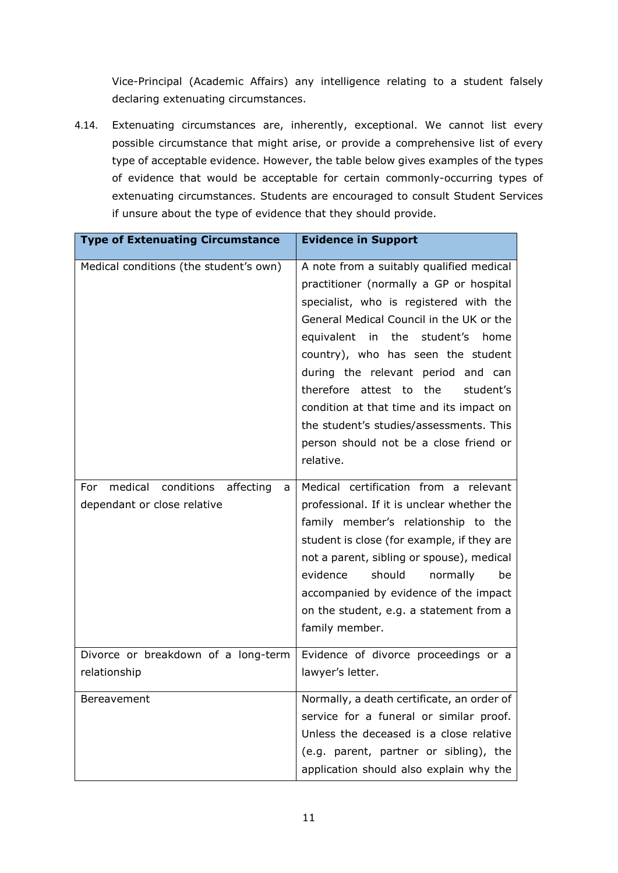<span id="page-11-0"></span>Vice-Principal (Academic Affairs) any intelligence relating to a student falsely declaring extenuating circumstances.

4.14. Extenuating circumstances are, inherently, exceptional. We cannot list every possible circumstance that might arise, or provide a comprehensive list of every type of acceptable evidence. However, the table below gives examples of the types of evidence that would be acceptable for certain commonly-occurring types of extenuating circumstances. Students are encouraged to consult Student Services if unsure about the type of evidence that they should provide.

| <b>Type of Extenuating Circumstance</b>                                    | <b>Evidence in Support</b>                                                                                                                                                                                                                                                                                                                                                                                                                                                         |  |  |
|----------------------------------------------------------------------------|------------------------------------------------------------------------------------------------------------------------------------------------------------------------------------------------------------------------------------------------------------------------------------------------------------------------------------------------------------------------------------------------------------------------------------------------------------------------------------|--|--|
| Medical conditions (the student's own)                                     | A note from a suitably qualified medical<br>practitioner (normally a GP or hospital<br>specialist, who is registered with the<br>General Medical Council in the UK or the<br>equivalent in the student's<br>home<br>country), who has seen the student<br>during the relevant period and can<br>therefore attest to the<br>student's<br>condition at that time and its impact on<br>the student's studies/assessments. This<br>person should not be a close friend or<br>relative. |  |  |
| medical conditions<br>affecting<br>For<br>a<br>dependant or close relative | Medical certification from a relevant<br>professional. If it is unclear whether the<br>family member's relationship to the<br>student is close (for example, if they are<br>not a parent, sibling or spouse), medical<br>evidence<br>should<br>normally<br>be<br>accompanied by evidence of the impact<br>on the student, e.g. a statement from a<br>family member.                                                                                                                |  |  |
| Divorce or breakdown of a long-term                                        | Evidence of divorce proceedings or a                                                                                                                                                                                                                                                                                                                                                                                                                                               |  |  |
| relationship                                                               | lawyer's letter.                                                                                                                                                                                                                                                                                                                                                                                                                                                                   |  |  |
| Bereavement                                                                | Normally, a death certificate, an order of<br>service for a funeral or similar proof.<br>Unless the deceased is a close relative<br>(e.g. parent, partner or sibling), the<br>application should also explain why the                                                                                                                                                                                                                                                              |  |  |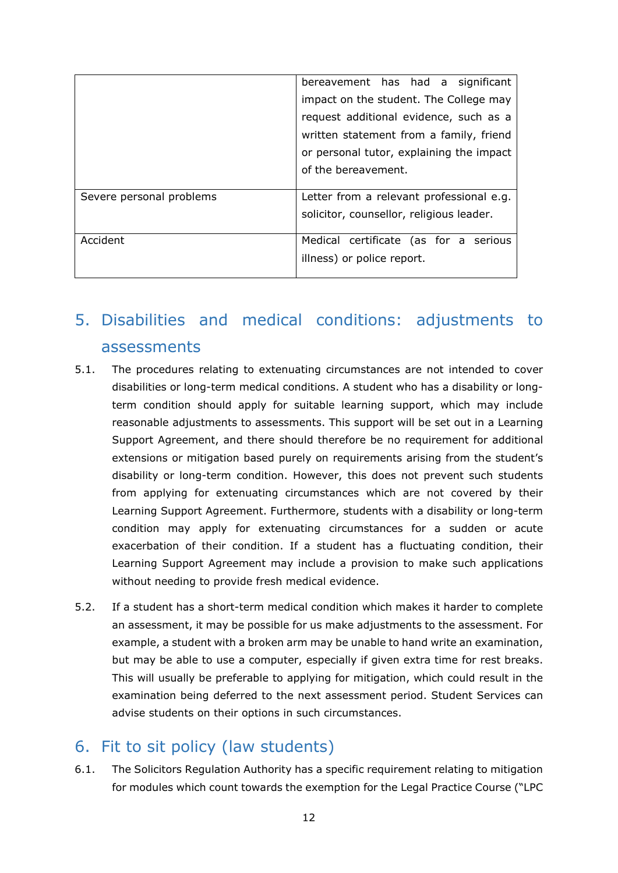|                          | bereavement has had a significant        |
|--------------------------|------------------------------------------|
|                          | impact on the student. The College may   |
|                          | request additional evidence, such as a   |
|                          | written statement from a family, friend  |
|                          | or personal tutor, explaining the impact |
|                          | of the bereavement.                      |
|                          |                                          |
| Severe personal problems | Letter from a relevant professional e.g. |
|                          | solicitor, counsellor, religious leader. |
|                          |                                          |
| Accident                 | Medical certificate (as for a serious    |
|                          | illness) or police report.               |
|                          |                                          |

# <span id="page-12-0"></span>5. Disabilities and medical conditions: adjustments to assessments

- 5.1. The procedures relating to extenuating circumstances are not intended to cover disabilities or long-term medical conditions. A student who has a disability or longterm condition should apply for suitable learning support, which may include reasonable adjustments to assessments. This support will be set out in a Learning Support Agreement, and there should therefore be no requirement for additional extensions or mitigation based purely on requirements arising from the student's disability or long-term condition. However, this does not prevent such students from applying for extenuating circumstances which are not covered by their Learning Support Agreement. Furthermore, students with a disability or long-term condition may apply for extenuating circumstances for a sudden or acute exacerbation of their condition. If a student has a fluctuating condition, their Learning Support Agreement may include a provision to make such applications without needing to provide fresh medical evidence.
- 5.2. If a student has a short-term medical condition which makes it harder to complete an assessment, it may be possible for us make adjustments to the assessment. For example, a student with a broken arm may be unable to hand write an examination, but may be able to use a computer, especially if given extra time for rest breaks. This will usually be preferable to applying for mitigation, which could result in the examination being deferred to the next assessment period. Student Services can advise students on their options in such circumstances.

# <span id="page-12-1"></span>6. Fit to sit policy (law students)

6.1. The Solicitors Regulation Authority has a specific requirement relating to mitigation for modules which count towards the exemption for the Legal Practice Course ("LPC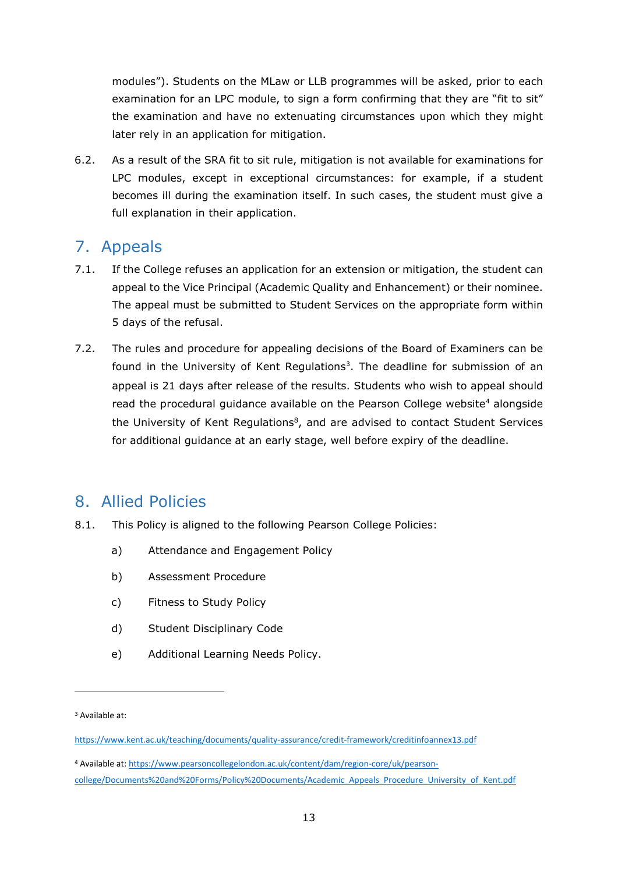modules"). Students on the MLaw or LLB programmes will be asked, prior to each examination for an LPC module, to sign a form confirming that they are "fit to sit" the examination and have no extenuating circumstances upon which they might later rely in an application for mitigation.

6.2. As a result of the SRA fit to sit rule, mitigation is not available for examinations for LPC modules, except in exceptional circumstances: for example, if a student becomes ill during the examination itself. In such cases, the student must give a full explanation in their application.

# <span id="page-13-0"></span>7. Appeals

- 7.1. If the College refuses an application for an extension or mitigation, the student can appeal to the Vice Principal (Academic Quality and Enhancement) or their nominee. The appeal must be submitted to Student Services on the appropriate form within 5 days of the refusal.
- 7.2. The rules and procedure for appealing decisions of the Board of Examiners can be found in the University of Kent Regulations<sup>[3](#page-13-2)</sup>. The deadline for submission of an appeal is 21 days after release of the results. Students who wish to appeal should read the procedural quidance available on the Pearson College website<sup>[4](#page-13-3)</sup> alongside the University of Kent Regulations<sup>8</sup>, and are advised to contact Student Services for additional guidance at an early stage, well before expiry of the deadline.

# <span id="page-13-1"></span>8. Allied Policies

- 8.1. This Policy is aligned to the following Pearson College Policies:
	- a) Attendance and Engagement Policy
	- b) Assessment Procedure
	- c) Fitness to Study Policy
	- d) Student Disciplinary Code
	- e) Additional Learning Needs Policy.

<span id="page-13-2"></span><sup>3</sup> Available at:

<https://www.kent.ac.uk/teaching/documents/quality-assurance/credit-framework/creditinfoannex13.pdf>

<span id="page-13-3"></span><sup>4</sup> Available at[: https://www.pearsoncollegelondon.ac.uk/content/dam/region-core/uk/pearson](https://www.pearsoncollegelondon.ac.uk/content/dam/region-core/uk/pearson-college/Documents%20and%20Forms/Policy%20Documents/Academic_Appeals_Procedure_University_of_Kent.pdf)[college/Documents%20and%20Forms/Policy%20Documents/Academic\\_Appeals\\_Procedure\\_University\\_of\\_Kent.pdf](https://www.pearsoncollegelondon.ac.uk/content/dam/region-core/uk/pearson-college/Documents%20and%20Forms/Policy%20Documents/Academic_Appeals_Procedure_University_of_Kent.pdf)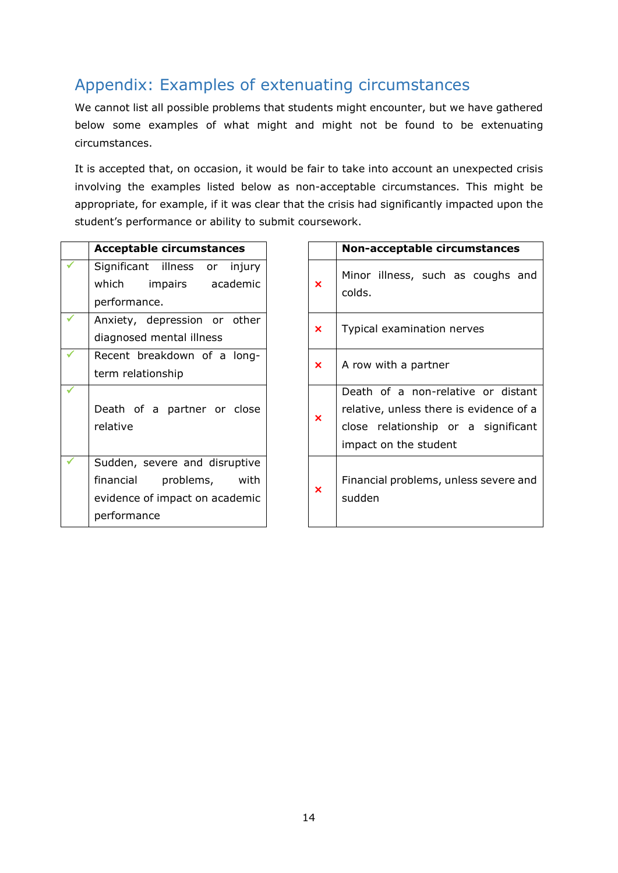# <span id="page-14-0"></span>Appendix: Examples of extenuating circumstances

We cannot list all possible problems that students might encounter, but we have gathered below some examples of what might and might not be found to be extenuating circumstances.

It is accepted that, on occasion, it would be fair to take into account an unexpected crisis involving the examples listed below as non-acceptable circumstances. This might be appropriate, for example, if it was clear that the crisis had significantly impacted upon the student's performance or ability to submit coursework.

| <b>Acceptable circumstances</b> |  |  |  |  |  |
|---------------------------------|--|--|--|--|--|
| Significant illness or injury   |  |  |  |  |  |
| which impairs academic          |  |  |  |  |  |
| performance.                    |  |  |  |  |  |
| Anxiety, depression or other    |  |  |  |  |  |
| diagnosed mental illness        |  |  |  |  |  |
| Recent breakdown of a long-     |  |  |  |  |  |
| term relationship               |  |  |  |  |  |
|                                 |  |  |  |  |  |
| Death of a partner or close     |  |  |  |  |  |
| relative                        |  |  |  |  |  |
|                                 |  |  |  |  |  |
| Sudden, severe and disruptive   |  |  |  |  |  |
| financial problems, with        |  |  |  |  |  |
| evidence of impact on academic  |  |  |  |  |  |
| performance                     |  |  |  |  |  |

| <b>Acceptable circumstances</b>                                                                                  |                           | Non-acceptable circumstances                                                                                                                  |
|------------------------------------------------------------------------------------------------------------------|---------------------------|-----------------------------------------------------------------------------------------------------------------------------------------------|
| Significant illness<br>injury<br>or -<br>which<br>impairs academic<br>performance.                               | $\boldsymbol{\mathsf{x}}$ | Minor illness, such as coughs and<br>colds.                                                                                                   |
| Anxiety, depression or other<br>diagnosed mental illness                                                         | $\boldsymbol{\mathsf{x}}$ | Typical examination nerves                                                                                                                    |
| Recent breakdown of a long-<br>term relationship                                                                 | $\mathbf x$               | A row with a partner                                                                                                                          |
| Death of a partner or close<br>relative                                                                          | $\boldsymbol{\mathsf{x}}$ | Death of a non-relative or distant<br>relative, unless there is evidence of a<br>close relationship or a significant<br>impact on the student |
| Sudden, severe and disruptive<br>financial<br>problems,<br>with<br>evidence of impact on academic<br>performance | $\overline{\mathbf{x}}$   | Financial problems, unless severe and<br>sudden                                                                                               |